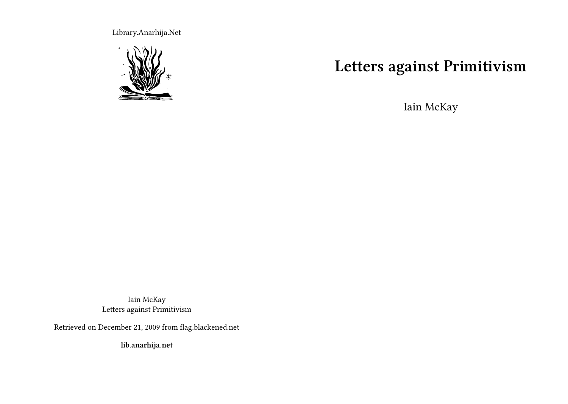Library.Anarhija.Net



# **Letters against Primitivism**

Iain McKay

Iain McKay Letters against Primitivism

Retrieved on December 21, 2009 from flag.blackened.net

**lib.anarhija.net**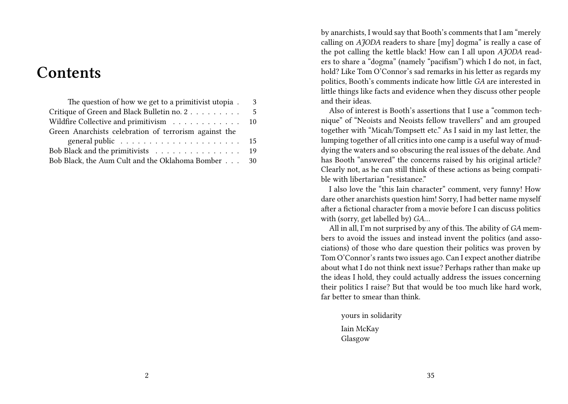# **Contents**

| The question of how we get to a primitivist utopia.                         | 3 |
|-----------------------------------------------------------------------------|---|
| Critique of Green and Black Bulletin no. 2                                  | 5 |
| Wildfire Collective and primitivism 10                                      |   |
| Green Anarchists celebration of terrorism against the                       |   |
| general public $\ldots \ldots \ldots \ldots \ldots \ldots \ldots \ldots 15$ |   |
| Bob Black and the primitivists 19                                           |   |
| Bob Black, the Aum Cult and the Oklahoma Bomber 30                          |   |

by anarchists, I would say that Booth's comments that I am "merely calling on *AJODA* readers to share [my] dogma" is really a case of the pot calling the kettle black! How can I all upon *AJODA* readers to share a "dogma" (namely "pacifism") which I do not, in fact, hold? Like Tom O'Connor's sad remarks in his letter as regards my politics, Booth's comments indicate how little *GA* are interested in little things like facts and evidence when they discuss other people and their ideas.

Also of interest is Booth's assertions that I use a "common technique" of "Neoists and Neoists fellow travellers" and am grouped together with "Micah/Tompsett etc." As I said in my last letter, the lumping together of all critics into one camp is a useful way of muddying the waters and so obscuring the real issues of the debate. And has Booth "answered" the concerns raised by his original article? Clearly not, as he can still think of these actions as being compatible with libertarian "resistance."

I also love the "this Iain character" comment, very funny! How dare other anarchists question him! Sorry, I had better name myself after a fictional character from a movie before I can discuss politics with (sorry, get labelled by) *GA*…

All in all, I'm not surprised by any of this. The ability of *GA* members to avoid the issues and instead invent the politics (and associations) of those who dare question their politics was proven by Tom O'Connor's rants two issues ago. Can I expect another diatribe about what I do not think next issue? Perhaps rather than make up the ideas I hold, they could actually address the issues concerning their politics I raise? But that would be too much like hard work, far better to smear than think.

yours in solidarity

Iain McKay Glasgow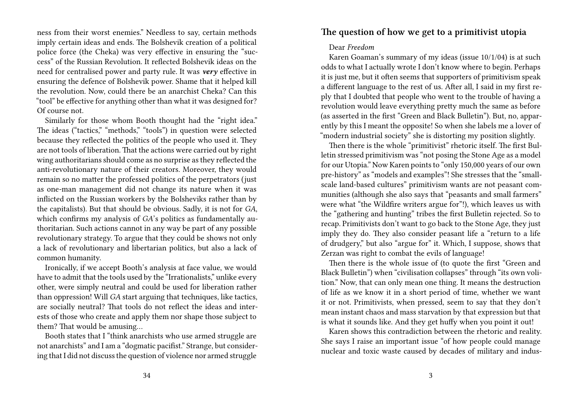ness from their worst enemies." Needless to say, certain methods imply certain ideas and ends. The Bolshevik creation of a political police force (the Cheka) was very effective in ensuring the "success" of the Russian Revolution. It reflected Bolshevik ideas on the need for centralised power and party rule. It was *very* effective in ensuring the defence of Bolshevik power. Shame that it helped kill the revolution. Now, could there be an anarchist Cheka? Can this "tool" be effective for anything other than what it was designed for? Of course not.

Similarly for those whom Booth thought had the "right idea." The ideas ("tactics," "methods," "tools") in question were selected because they reflected the politics of the people who used it. They are not tools of liberation. That the actions were carried out by right wing authoritarians should come as no surprise as they reflected the anti-revolutionary nature of their creators. Moreover, they would remain so no matter the professed politics of the perpetrators (just as one-man management did not change its nature when it was inflicted on the Russian workers by the Bolsheviks rather than by the capitalists). But that should be obvious. Sadly, it is not for *GA*, which confirms my analysis of *GA*'s politics as fundamentally authoritarian. Such actions cannot in any way be part of any possible revolutionary strategy. To argue that they could be shows not only a lack of revolutionary and libertarian politics, but also a lack of common humanity.

Ironically, if we accept Booth's analysis at face value, we would have to admit that the tools used by the "Irrationalists," unlike every other, were simply neutral and could be used for liberation rather than oppression! Will *GA* start arguing that techniques, like tactics, are socially neutral? That tools do not reflect the ideas and interests of those who create and apply them nor shape those subject to them? That would be amusing…

Booth states that I "think anarchists who use armed struggle are not anarchists" and I am a "dogmatic pacifist." Strange, but considering that I did not discuss the question of violence nor armed struggle

### **The question of how we get to a primitivist utopia**

#### Dear *Freedom*

Karen Goaman's summary of my ideas (issue 10/1/04) is at such odds to what I actually wrote I don't know where to begin. Perhaps it is just me, but it often seems that supporters of primitivism speak a different language to the rest of us. After all, I said in my first reply that I doubted that people who went to the trouble of having a revolution would leave everything pretty much the same as before (as asserted in the first "Green and Black Bulletin"). But, no, apparently by this I meant the opposite! So when she labels me a lover of "modern industrial society" she is distorting my position slightly.

Then there is the whole "primitivist" rhetoric itself. The first Bulletin stressed primitivism was "not posing the Stone Age as a model for our Utopia." Now Karen points to "only 150,000 years of our own pre-history" as "models and examples"! She stresses that the "smallscale land-based cultures" primitivism wants are not peasant communities (although she also says that "peasants and small farmers" were what "the Wildfire writers argue for"!), which leaves us with the "gathering and hunting" tribes the first Bulletin rejected. So to recap. Primitivists don't want to go back to the Stone Age, they just imply they do. They also consider peasant life a "return to a life of drudgery," but also "argue for" it. Which, I suppose, shows that Zerzan was right to combat the evils of language!

Then there is the whole issue of (to quote the first "Green and Black Bulletin") when "civilisation collapses" through "its own volition." Now, that can only mean one thing. It means the destruction of life as we know it in a short period of time, whether we want it or not. Primitivists, when pressed, seem to say that they don't mean instant chaos and mass starvation by that expression but that is what it sounds like. And they get huffy when you point it out!

Karen shows this contradiction between the rhetoric and reality. She says I raise an important issue "of how people could manage nuclear and toxic waste caused by decades of military and indus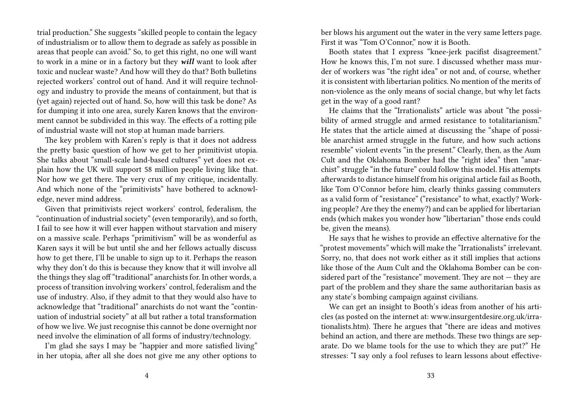trial production." She suggests "skilled people to contain the legacy of industrialism or to allow them to degrade as safely as possible in areas that people can avoid." So, to get this right, no one will want to work in a mine or in a factory but they *will* want to look after toxic and nuclear waste? And how will they do that? Both bulletins rejected workers' control out of hand. And it will require technology and industry to provide the means of containment, but that is (yet again) rejected out of hand. So, how will this task be done? As for dumping it into one area, surely Karen knows that the environment cannot be subdivided in this way. The effects of a rotting pile of industrial waste will not stop at human made barriers.

The key problem with Karen's reply is that it does not address the pretty basic question of how we get to her primitivist utopia. She talks about "small-scale land-based cultures" yet does not explain how the UK will support 58 million people living like that. Nor how we get there. The very crux of my critique, incidentally. And which none of the "primitivists" have bothered to acknowledge, never mind address.

Given that primitivists reject workers' control, federalism, the "continuation of industrial society" (even temporarily), and so forth, I fail to see how it will ever happen without starvation and misery on a massive scale. Perhaps "primitivism" will be as wonderful as Karen says it will be but until she and her fellows actually discuss how to get there, I'll be unable to sign up to it. Perhaps the reason why they don't do this is because they know that it will involve all the things they slag off "traditional" anarchists for. In other words, a process of transition involving workers' control, federalism and the use of industry. Also, if they admit to that they would also have to acknowledge that "traditional" anarchists do not want the "continuation of industrial society" at all but rather a total transformation of how we live. We just recognise this cannot be done overnight nor need involve the elimination of all forms of industry/technology.

I'm glad she says I may be "happier and more satisfied living" in her utopia, after all she does not give me any other options to ber blows his argument out the water in the very same letters page. First it was "Tom O'Connor." now it is Booth.

Booth states that I express "knee-jerk pacifist disagreement." How he knows this, I'm not sure. I discussed whether mass murder of workers was "the right idea" or not and, of course, whether it is consistent with libertarian politics. No mention of the merits of non-violence as the only means of social change, but why let facts get in the way of a good rant?

He claims that the "Irrationalists" article was about "the possibility of armed struggle and armed resistance to totalitarianism." He states that the article aimed at discussing the "shape of possible anarchist armed struggle in the future, and how such actions resemble" violent events "in the present." Clearly, then, as the Aum Cult and the Oklahoma Bomber had the "right idea" then "anarchist" struggle "in the future" could follow this model. His attempts afterwards to distance himself from his original article fail as Booth, like Tom O'Connor before him, clearly thinks gassing commuters as a valid form of "resistance" ("resistance" to what, exactly? Working people? Are they the enemy?) and can be applied for libertarian ends (which makes you wonder how "libertarian" those ends could be, given the means).

He says that he wishes to provide an effective alternative for the "protest movements" which will make the "Irrationalists" irrelevant. Sorry, no, that does not work either as it still implies that actions like those of the Aum Cult and the Oklahoma Bomber can be considered part of the "resistance" movement. They are not — they are part of the problem and they share the same authoritarian basis as any state's bombing campaign against civilians.

We can get an insight to Booth's ideas from another of his articles (as posted on the internet at: www.insurgentdesire.org.uk/irrationalists.htm). There he argues that "there are ideas and motives behind an action, and there are methods. These two things are separate. Do we blame tools for the use to which they are put?" He stresses: "I say only a fool refuses to learn lessons about effective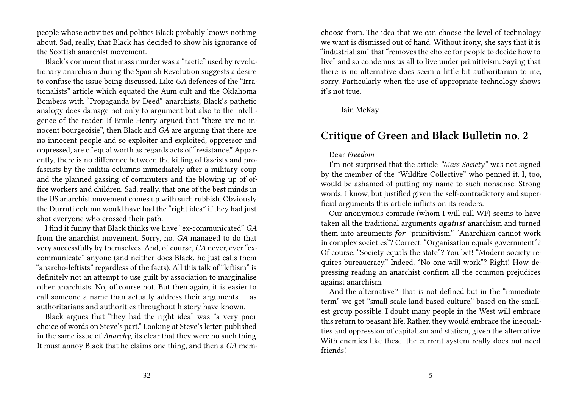people whose activities and politics Black probably knows nothing about. Sad, really, that Black has decided to show his ignorance of the Scottish anarchist movement.

Black's comment that mass murder was a "tactic" used by revolutionary anarchism during the Spanish Revolution suggests a desire to confuse the issue being discussed. Like *GA* defences of the "Irrationalists" article which equated the Aum cult and the Oklahoma Bombers with "Propaganda by Deed" anarchists, Black's pathetic analogy does damage not only to argument but also to the intelligence of the reader. If Emile Henry argued that "there are no innocent bourgeoisie", then Black and *GA* are arguing that there are no innocent people and so exploiter and exploited, oppressor and oppressed, are of equal worth as regards acts of "resistance." Apparently, there is no difference between the killing of fascists and profascists by the militia columns immediately after a military coup and the planned gassing of commuters and the blowing up of office workers and children. Sad, really, that one of the best minds in the US anarchist movement comes up with such rubbish. Obviously the Durruti column would have had the "right idea" if they had just shot everyone who crossed their path.

I find it funny that Black thinks we have "ex-communicated" *GA* from the anarchist movement. Sorry, no, *GA* managed to do that very successfully by themselves. And, of course, *GA* never, ever "excommunicate" anyone (and neither does Black, he just calls them "anarcho-leftists" regardless of the facts). All this talk of "leftism" is definitely not an attempt to use guilt by association to marginalise other anarchists. No, of course not. But then again, it is easier to call someone a name than actually address their arguments — as authoritarians and authorities throughout history have known.

Black argues that "they had the right idea" was "a very poor choice of words on Steve's part." Looking at Steve's letter, published in the same issue of *Anarchy*, its clear that they were no such thing. It must annoy Black that he claims one thing, and then a *GA* mem-

choose from. The idea that we can choose the level of technology we want is dismissed out of hand. Without irony, she says that it is "industrialism" that "removes the choice for people to decide how to live" and so condemns us all to live under primitivism. Saying that there is no alternative does seem a little bit authoritarian to me, sorry. Particularly when the use of appropriate technology shows it's not true.

### Iain McKay

### **Critique of Green and Black Bulletin no. 2**

### Dear *Freedom*

I'm not surprised that the article *"Mass Society"* was not signed by the member of the "Wildfire Collective" who penned it. I, too, would be ashamed of putting my name to such nonsense. Strong words, I know, but justified given the self-contradictory and superficial arguments this article inflicts on its readers.

Our anonymous comrade (whom I will call WF) seems to have taken all the traditional arguments *against* anarchism and turned them into arguments *for* "primitivism." "Anarchism cannot work in complex societies"? Correct. "Organisation equals government"? Of course. "Society equals the state"? You bet! "Modern society requires bureaucracy." Indeed. "No one will work"? Right! How depressing reading an anarchist confirm all the common prejudices against anarchism.

And the alternative? That is not defined but in the "immediate term" we get "small scale land-based culture," based on the smallest group possible. I doubt many people in the West will embrace this return to peasant life. Rather, they would embrace the inequalities and oppression of capitalism and statism, given the alternative. With enemies like these, the current system really does not need friends!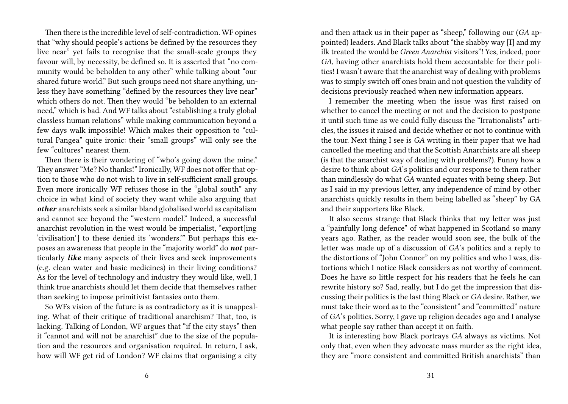Then there is the incredible level of self-contradiction. WF opines that "why should people's actions be defined by the resources they live near" yet fails to recognise that the small-scale groups they favour will, by necessity, be defined so. It is asserted that "no community would be beholden to any other" while talking about "our shared future world." But such groups need not share anything, unless they have something "defined by the resources they live near" which others do not. Then they would "be beholden to an external need," which is bad. And WF talks about "establishing a truly global classless human relations" while making communication beyond a few days walk impossible! Which makes their opposition to "cultural Pangea" quite ironic: their "small groups" will only see the few "cultures" nearest them.

Then there is their wondering of "who's going down the mine." They answer "Me? No thanks!" Ironically, WF does not offer that option to those who do not wish to live in self-sufficient small groups. Even more ironically WF refuses those in the "global south" any choice in what kind of society they want while also arguing that *other* anarchists seek a similar bland globalised world as capitalism and cannot see beyond the "western model." Indeed, a successful anarchist revolution in the west would be imperialist, "export[ing 'civilisation'] to these denied its 'wonders.'" But perhaps this exposes an awareness that people in the "majority world" do *not* particularly *like* many aspects of their lives and seek improvements (e.g. clean water and basic medicines) in their living conditions? As for the level of technology and industry they would like, well, I think true anarchists should let them decide that themselves rather than seeking to impose primitivist fantasies onto them.

So WFs vision of the future is as contradictory as it is unappealing. What of their critique of traditional anarchism? That, too, is lacking. Talking of London, WF argues that "if the city stays" then it "cannot and will not be anarchist" due to the size of the population and the resources and organisation required. In return, I ask, how will WF get rid of London? WF claims that organising a city

and then attack us in their paper as "sheep," following our (*GA* appointed) leaders. And Black talks about "the shabby way [I] and my ilk treated the would be *Green Anarchist* visitors"! Yes, indeed, poor *GA*, having other anarchists hold them accountable for their politics! I wasn't aware that the anarchist way of dealing with problems was to simply switch off ones brain and not question the validity of decisions previously reached when new information appears.

I remember the meeting when the issue was first raised on whether to cancel the meeting or not and the decision to postpone it until such time as we could fully discuss the "Irrationalists" articles, the issues it raised and decide whether or not to continue with the tour. Next thing I see is *GA* writing in their paper that we had cancelled the meeting and that the Scottish Anarchists are all sheep (is that the anarchist way of dealing with problems?). Funny how a desire to think about *GA*'s politics and our response to them rather than mindlessly do what *GA* wanted equates with being sheep. But as I said in my previous letter, any independence of mind by other anarchists quickly results in them being labelled as "sheep" by GA and their supporters like Black.

It also seems strange that Black thinks that my letter was just a "painfully long defence" of what happened in Scotland so many years ago. Rather, as the reader would soon see, the bulk of the letter was made up of a discussion of *GA*'s politics and a reply to the distortions of "John Connor" on my politics and who I was, distortions which I notice Black considers as not worthy of comment. Does he have so little respect for his readers that he feels he can rewrite history so? Sad, really, but I do get the impression that discussing their politics is the last thing Black or *GA* desire. Rather, we must take their word as to the "consistent" and "committed" nature of *GA*'s politics. Sorry, I gave up religion decades ago and I analyse what people say rather than accept it on faith.

It is interesting how Black portrays *GA* always as victims. Not only that, even when they advocate mass murder as the right idea, they are "more consistent and committed British anarchists" than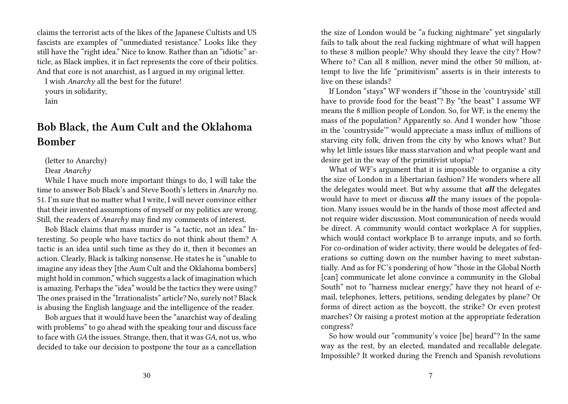claims the terrorist acts of the likes of the Japanese Cultists and US fascists are examples of "unmediated resistance." Looks like they still have the "right idea." Nice to know. Rather than an "idiotic" article, as Black implies, it in fact represents the core of their politics. And that core is not anarchist, as I argued in my original letter.

I wish *Anarchy* all the best for the future! yours in solidarity, Iain

## **Bob Black, the Aum Cult and the Oklahoma Bomber**

(letter to Anarchy)

Dear *Anarchy*

While I have much more important things to do, I will take the time to answer Bob Black's and Steve Booth's letters in *Anarchy* no. 51. I'm sure that no matter what I write, I will never convince either that their invented assumptions of myself or my politics are wrong. Still, the readers of *Anarchy* may find my comments of interest.

Bob Black claims that mass murder is "a tactic, not an idea." Interesting. So people who have tactics do not think about them? A tactic is an idea until such time as they do it, then it becomes an action. Clearly, Black is talking nonsense. He states he is "unable to imagine any ideas they [the Aum Cult and the Oklahoma bombers] might hold in common," which suggests a lack of imagination which is amazing. Perhaps the "idea" would be the tactics they were using? The ones praised in the "Irrationalists" article? No, surely not? Black is abusing the English language and the intelligence of the reader.

Bob argues that it would have been the "anarchist way of dealing with problems" to go ahead with the speaking tour and discuss face to face with *GA* the issues. Strange, then, that it was *GA*, not us, who decided to take our decision to postpone the tour as a cancellation

the size of London would be "a fucking nightmare" yet singularly fails to talk about the real fucking nightmare of what will happen to these 8 million people? Why should they leave the city? How? Where to? Can all 8 million, never mind the other 50 million, attempt to live the life "primitivism" asserts is in their interests to live on these islands?

If London "stays" WF wonders if "those in the 'countryside' still have to provide food for the beast"? By "the beast" I assume WF means the 8 million people of London. So, for WF, is the enemy the mass of the population? Apparently so. And I wonder how "those in the 'countryside'" would appreciate a mass influx of millions of starving city folk, driven from the city by who knows what? But why let little issues like mass starvation and what people want and desire get in the way of the primitivist utopia?

What of WF's argument that it is impossible to organise a city the size of London in a libertarian fashion? He wonders where all the delegates would meet. But why assume that *all* the delegates would have to meet or discuss *all* the many issues of the population. Many issues would be in the hands of those most affected and not require wider discussion. Most communication of needs would be direct. A community would contact workplace A for supplies, which would contact workplace B to arrange inputs, and so forth. For co-ordination of wider activity, there would be delegates of federations so cutting down on the number having to meet substantially. And as for FC's pondering of how "those in the Global North [can] communicate let alone convince a community in the Global South" not to "harness nuclear energy," have they not heard of email, telephones, letters, petitions, sending delegates by plane? Or forms of direct action as the boycott, the strike? Or even protest marches? Or raising a protest motion at the appropriate federation congress?

So how would our "community's voice [be] heard"? In the same way as the rest, by an elected, mandated and recallable delegate. Impossible? It worked during the French and Spanish revolutions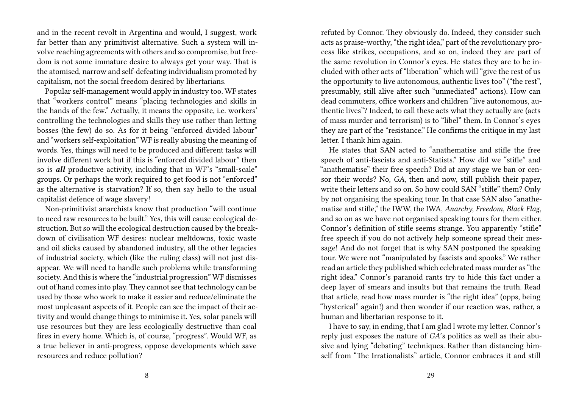and in the recent revolt in Argentina and would, I suggest, work far better than any primitivist alternative. Such a system will involve reaching agreements with others and so compromise, but freedom is not some immature desire to always get your way. That is the atomised, narrow and self-defeating individualism promoted by capitalism, not the social freedom desired by libertarians.

Popular self-management would apply in industry too. WF states that "workers control" means "placing technologies and skills in the hands of the few." Actually, it means the opposite, i.e. workers' controlling the technologies and skills they use rather than letting bosses (the few) do so. As for it being "enforced divided labour" and "workers self-exploitation" WF is really abusing the meaning of words. Yes, things will need to be produced and different tasks will involve different work but if this is "enforced divided labour" then so is *all* productive activity, including that in WF's "small-scale" groups. Or perhaps the work required to get food is not "enforced" as the alternative is starvation? If so, then say hello to the usual capitalist defence of wage slavery!

Non-primitivist anarchists know that production "will continue to need raw resources to be built." Yes, this will cause ecological destruction. But so will the ecological destruction caused by the breakdown of civilisation WF desires: nuclear meltdowns, toxic waste and oil slicks caused by abandoned industry, all the other legacies of industrial society, which (like the ruling class) will not just disappear. We will need to handle such problems while transforming society. And this is where the "industrial progression" WF dismisses out of hand comes into play. They cannot see that technology can be used by those who work to make it easier and reduce/eliminate the most unpleasant aspects of it. People can see the impact of their activity and would change things to minimise it. Yes, solar panels will use resources but they are less ecologically destructive than coal fires in every home. Which is, of course, "progress". Would WF, as a true believer in anti-progress, oppose developments which save resources and reduce pollution?

refuted by Connor. They obviously do. Indeed, they consider such acts as praise-worthy, "the right idea," part of the revolutionary process like strikes, occupations, and so on, indeed they are part of the same revolution in Connor's eyes. He states they are to be included with other acts of "liberation" which will "give the rest of us the opportunity to live autonomous, authentic lives too" ("the rest", presumably, still alive after such "unmediated" actions). How can dead commuters, office workers and children "live autonomous, authentic lives"? Indeed, to call these acts what they actually are (acts of mass murder and terrorism) is to "libel" them. In Connor's eyes they are part of the "resistance." He confirms the critique in my last letter. I thank him again.

He states that SAN acted to "anathematise and stifle the free speech of anti-fascists and anti-Statists." How did we "stifle" and "anathematise" their free speech? Did at any stage we ban or censor their words? No, *GA*, then and now, still publish their paper, write their letters and so on. So how could SAN "stifle" them? Only by not organising the speaking tour. In that case SAN also "anathematise and stifle," the IWW, the IWA, *Anarchy*, *Freedom*, *Black Flag*, and so on as we have not organised speaking tours for them either. Connor's definition of stifle seems strange. You apparently "stifle" free speech if you do not actively help someone spread their message! And do not forget that is why SAN postponed the speaking tour. We were not "manipulated by fascists and spooks." We rather read an article they published which celebrated mass murder as "the right idea." Connor's paranoid rants try to hide this fact under a deep layer of smears and insults but that remains the truth. Read that article, read how mass murder is "the right idea" (opps, being "hysterical" again!) and then wonder if our reaction was, rather, a human and libertarian response to it.

I have to say, in ending, that I am glad I wrote my letter. Connor's reply just exposes the nature of *GA*'s politics as well as their abusive and lying "debating" techniques. Rather than distancing himself from "The Irrationalists" article, Connor embraces it and still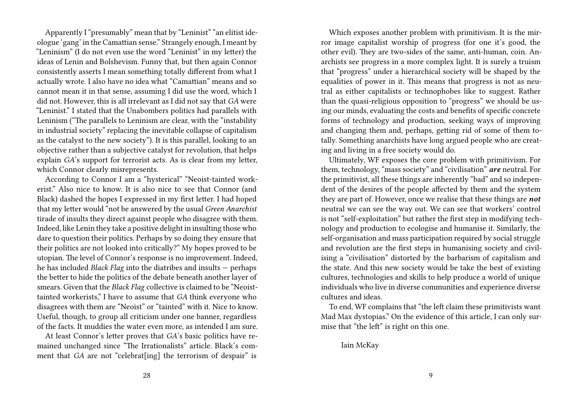Apparently I "presumably" mean that by "Leninist" "an elitist ideologue 'gang' in the Camattian sense." Strangely enough, I meant by "Leninism" (I do not even use the word "Leninist" in my letter) the ideas of Lenin and Bolshevism. Funny that, but then again Connor consistently asserts I mean something totally different from what I actually wrote. I also have no idea what "Camattian" means and so cannot mean it in that sense, assuming I did use the word, which I did not. However, this is all irrelevant as I did not say that *GA* were "Leninist." I stated that the Unabombers politics had parallels with Leninism ("The parallels to Leninism are clear, with the "instability in industrial society" replacing the inevitable collapse of capitalism as the catalyst to the new society"). It is this parallel, looking to an objective rather than a subjective catalyst for revolution, that helps explain *GA*'s support for terrorist acts. As is clear from my letter, which Connor clearly misrepresents.

According to Connor I am a "hysterical" "Neoist-tainted workerist." Also nice to know. It is also nice to see that Connor (and Black) dashed the hopes I expressed in my first letter. I had hoped that my letter would "not be answered by the usual *Green Anarchist* tirade of insults they direct against people who disagree with them. Indeed, like Lenin they take a positive delight in insulting those who dare to question their politics. Perhaps by so doing they ensure that their politics are not looked into critically?" My hopes proved to be utopian. The level of Connor's response is no improvement. Indeed, he has included *Black Flag* into the diatribes and insults — perhaps the better to hide the politics of the debate beneath another layer of smears. Given that the *Black Flag* collective is claimed to be "Neoisttainted workerists," I have to assume that *GA* think everyone who disagrees with them are "Neoist" or "tainted" with it. Nice to know. Useful, though, to group all criticism under one banner, regardless of the facts. It muddies the water even more, as intended I am sure.

At least Connor's letter proves that *GA*'s basic politics have remained unchanged since "The Irrationalists" article. Black's comment that *GA* are not "celebrat[ing] the terrorism of despair" is

Which exposes another problem with primitivism. It is the mirror image capitalist worship of progress (for one it's good, the other evil). They are two-sides of the same, anti-human, coin. Anarchists see progress in a more complex light. It is surely a truism that "progress" under a hierarchical society will be shaped by the equalities of power in it. This means that progress is not as neutral as either capitalists or technophobes like to suggest. Rather than the quasi-religious opposition to "progress" we should be using our minds, evaluating the costs and benefits of specific concrete forms of technology and production, seeking ways of improving and changing them and, perhaps, getting rid of some of them totally. Something anarchists have long argued people who are creating and living in a free society would do.

Ultimately, WF exposes the core problem with primitivism. For them, technology, "mass society" and "civilisation" *are* neutral. For the primitivist, all these things are inherently "bad" and so independent of the desires of the people affected by them and the system they are part of. However, once we realise that these things are *not* neutral we can see the way out. We can see that workers' control is not "self-exploitation" but rather the first step in modifying technology and production to ecologise and humanise it. Similarly, the self-organisation and mass participation required by social struggle and revolution are the first steps in humanising society and civilising a "civilisation" distorted by the barbarism of capitalism and the state. And this new society would be take the best of existing cultures, technologies and skills to help produce a world of unique individuals who live in diverse communities and experience diverse cultures and ideas.

To end, WF complains that "the left claim these primitivists want Mad Max dystopias." On the evidence of this article, I can only surmise that "the left" is right on this one.

Iain McKay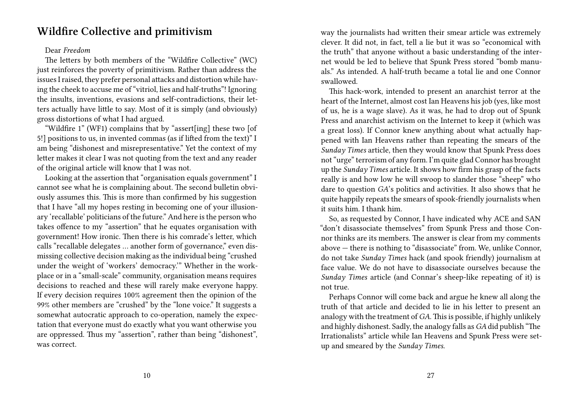### **Wildfire Collective and primitivism**

#### Dear *Freedom*

The letters by both members of the "Wildfire Collective" (WC) just reinforces the poverty of primitivism. Rather than address the issues I raised, they prefer personal attacks and distortion while having the cheek to accuse me of "vitriol, lies and half-truths"! Ignoring the insults, inventions, evasions and self-contradictions, their letters actually have little to say. Most of it is simply (and obviously) gross distortions of what I had argued.

"Wildfire 1" (WF1) complains that by "assert[ing] these two [of 5!] positions to us, in invented commas (as if lifted from the text)" I am being "dishonest and misrepresentative." Yet the context of my letter makes it clear I was not quoting from the text and any reader of the original article will know that I was not.

Looking at the assertion that "organisation equals government" I cannot see what he is complaining about. The second bulletin obviously assumes this. This is more than confirmed by his suggestion that I have "all my hopes resting in becoming one of your illusionary 'recallable' politicians of the future." And here is the person who takes offence to my "assertion" that he equates organisation with government! How ironic. Then there is his comrade's letter, which calls "recallable delegates … another form of governance," even dismissing collective decision making as the individual being "crushed under the weight of 'workers' democracy.'" Whether in the workplace or in a "small-scale" community, organisation means requires decisions to reached and these will rarely make everyone happy. If every decision requires 100% agreement then the opinion of the 99% other members are "crushed" by the "lone voice." It suggests a somewhat autocratic approach to co-operation, namely the expectation that everyone must do exactly what you want otherwise you are oppressed. Thus my "assertion", rather than being "dishonest", was correct.

way the journalists had written their smear article was extremely clever. It did not, in fact, tell a lie but it was so "economical with the truth" that anyone without a basic understanding of the internet would be led to believe that Spunk Press stored "bomb manuals." As intended. A half-truth became a total lie and one Connor swallowed.

This hack-work, intended to present an anarchist terror at the heart of the Internet, almost cost Ian Heavens his job (yes, like most of us, he is a wage slave). As it was, he had to drop out of Spunk Press and anarchist activism on the Internet to keep it (which was a great loss). If Connor knew anything about what actually happened with Ian Heavens rather than repeating the smears of the *Sunday Times* article, then they would know that Spunk Press does not "urge" terrorism of any form. I'm quite glad Connor has brought up the *Sunday Times* article. It shows how firm his grasp of the facts really is and how low he will swoop to slander those "sheep" who dare to question *GA*'s politics and activities. It also shows that he quite happily repeats the smears of spook-friendly journalists when it suits him. I thank him.

So, as requested by Connor, I have indicated why ACE and SAN "don't disassociate themselves" from Spunk Press and those Connor thinks are its members. The answer is clear from my comments above — there is nothing to "disassociate" from. We, unlike Connor, do not take *Sunday Times* hack (and spook friendly) journalism at face value. We do not have to disassociate ourselves because the *Sunday Times* article (and Connar's sheep-like repeating of it) is not true.

Perhaps Connor will come back and argue he knew all along the truth of that article and decided to lie in his letter to present an analogy with the treatment of *GA*. This is possible, if highly unlikely and highly dishonest. Sadly, the analogy falls as *GA* did publish "The Irrationalists" article while Ian Heavens and Spunk Press were setup and smeared by the *Sunday Times*.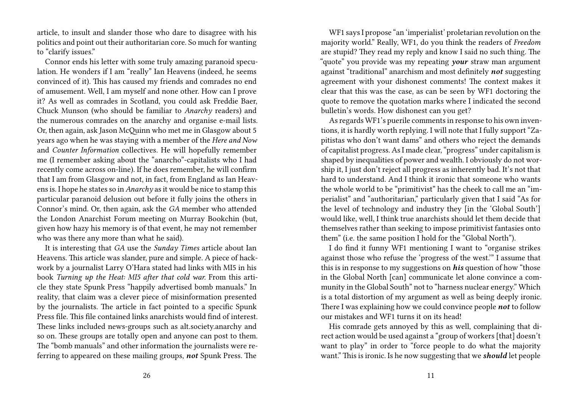article, to insult and slander those who dare to disagree with his politics and point out their authoritarian core. So much for wanting to "clarify issues."

Connor ends his letter with some truly amazing paranoid speculation. He wonders if I am "really" Ian Heavens (indeed, he seems convinced of it). This has caused my friends and comrades no end of amusement. Well, I am myself and none other. How can I prove it? As well as comrades in Scotland, you could ask Freddie Baer, Chuck Munson (who should be familiar to *Anarchy* readers) and the numerous comrades on the anarchy and organise e-mail lists. Or, then again, ask Jason McQuinn who met me in Glasgow about 5 years ago when he was staying with a member of the *Here and Now* and *Counter Information* collectives. He will hopefully remember me (I remember asking about the "anarcho"-capitalists who I had recently come across on-line). If he does remember, he will confirm that I am from Glasgow and not, in fact, from England as Ian Heavens is. I hope he states so in *Anarchy* as it would be nice to stamp this particular paranoid delusion out before it fully joins the others in Connor's mind. Or, then again, ask the *GA* member who attended the London Anarchist Forum meeting on Murray Bookchin (but, given how hazy his memory is of that event, he may not remember who was there any more than what he said).

It is interesting that *GA* use the *Sunday Times* article about Ian Heavens. This article was slander, pure and simple. A piece of hackwork by a journalist Larry O'Hara stated had links with MI5 in his book *Turning up the Heat: MI5 after that cold war.* From this article they state Spunk Press "happily advertised bomb manuals." In reality, that claim was a clever piece of misinformation presented by the journalists. The article in fact pointed to a specific Spunk Press file. This file contained links anarchists would find of interest. These links included news-groups such as alt.society.anarchy and so on. These groups are totally open and anyone can post to them. The "bomb manuals" and other information the journalists were referring to appeared on these mailing groups, *not* Spunk Press. The

WF1 says I propose "an 'imperialist' proletarian revolution on the majority world." Really, WF1, do you think the readers of *Freedom* are stupid? They read my reply and know I said no such thing. The "quote" you provide was my repeating *your* straw man argument against "traditional" anarchism and most definitely *not* suggesting agreement with your dishonest comments! The context makes it clear that this was the case, as can be seen by WF1 doctoring the quote to remove the quotation marks where I indicated the second bulletin's words. How dishonest can you get?

As regards WF1's puerile comments in response to his own inventions, it is hardly worth replying. I will note that I fully support "Zapitistas who don't want dams" and others who reject the demands of capitalist progress. As I made clear, "progress" under capitalism is shaped by inequalities of power and wealth. I obviously do not worship it, I just don't reject all progress as inherently bad. It's not that hard to understand. And I think it ironic that someone who wants the whole world to be "primitivist" has the cheek to call me an "imperialist" and "authoritarian," particularly given that I said "As for the level of technology and industry they [in the 'Global South'] would like, well, I think true anarchists should let them decide that themselves rather than seeking to impose primitivist fantasies onto them" (i.e. the same position I hold for the "Global North").

I do find it funny WF1 mentioning I want to "organise strikes against those who refuse the 'progress of the west.'" I assume that this is in response to my suggestions on *his* question of how "those in the Global North [can] communicate let alone convince a community in the Global South" not to "harness nuclear energy." Which is a total distortion of my argument as well as being deeply ironic. There I was explaining how we could convince people *not* to follow our mistakes and WF1 turns it on its head!

His comrade gets annoyed by this as well, complaining that direct action would be used against a "group of workers [that] doesn't want to play" in order to "force people to do what the majority want." This is ironic. Is he now suggesting that we *should* let people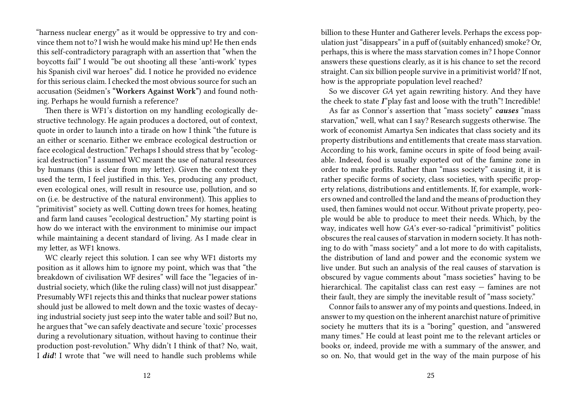"harness nuclear energy" as it would be oppressive to try and convince them not to? I wish he would make his mind up! He then ends this self-contradictory paragraph with an assertion that "when the boycotts fail" I would "be out shooting all these 'anti-work' types his Spanish civil war heroes" did. I notice he provided no evidence for this serious claim. I checked the most obvious source for such an accusation (Seidmen's **"Workers Against Work"**) and found nothing. Perhaps he would furnish a reference?

Then there is WF1's distortion on my handling ecologically destructive technology. He again produces a doctored, out of context, quote in order to launch into a tirade on how I think "the future is an either or scenario. Either we embrace ecological destruction or face ecological destruction." Perhaps I should stress that by "ecological destruction" I assumed WC meant the use of natural resources by humans (this is clear from my letter). Given the context they used the term, I feel justified in this. Yes, producing any product, even ecological ones, will result in resource use, pollution, and so on (i.e. be destructive of the natural environment). This applies to "primitivist" society as well. Cutting down trees for homes, heating and farm land causes "ecological destruction." My starting point is how do we interact with the environment to minimise our impact while maintaining a decent standard of living. As I made clear in my letter, as WF1 knows.

WC clearly reject this solution. I can see why WF1 distorts my position as it allows him to ignore my point, which was that "the breakdown of civilisation WF desires" will face the "legacies of industrial society, which (like the ruling class) will not just disappear." Presumably WF1 rejects this and thinks that nuclear power stations should just be allowed to melt down and the toxic wastes of decaying industrial society just seep into the water table and soil? But no, he argues that "we can safely deactivate and secure 'toxic' processes during a revolutionary situation, without having to continue their production post-revolution." Why didn't I think of that? No, wait, I *did*! I wrote that "we will need to handle such problems while

billion to these Hunter and Gatherer levels. Perhaps the excess population just "disappears" in a puff of (suitably enhanced) smoke? Or, perhaps, this is where the mass starvation comes in? I hope Connor answers these questions clearly, as it is his chance to set the record straight. Can six billion people survive in a primitivist world? If not, how is the appropriate population level reached?

So we discover *GA* yet again rewriting history. And they have the cheek to state *I*"play fast and loose with the truth"! Incredible!

As far as Connor's assertion that "mass society" *causes* "mass starvation," well, what can I say? Research suggests otherwise. The work of economist Amartya Sen indicates that class society and its property distributions and entitlements that create mass starvation. According to his work, famine occurs in spite of food being available. Indeed, food is usually exported out of the famine zone in order to make profits. Rather than "mass society" causing it, it is rather specific forms of society, class societies, with specific property relations, distributions and entitlements. If, for example, workers owned and controlled the land and the means of production they used, then famines would not occur. Without private property, people would be able to produce to meet their needs. Which, by the way, indicates well how *GA*'s ever-so-radical "primitivist" politics obscures the real causes of starvation in modern society. It has nothing to do with "mass society" and a lot more to do with capitalists, the distribution of land and power and the economic system we live under. But such an analysis of the real causes of starvation is obscured by vague comments about "mass societies" having to be hierarchical. The capitalist class can rest easy — famines are not their fault, they are simply the inevitable result of "mass society."

Connor fails to answer any of my points and questions. Indeed, in answer to my question on the inherent anarchist nature of primitive society he mutters that its is a "boring" question, and "answered many times." He could at least point me to the relevant articles or books or, indeed, provide me with a summary of the answer, and so on. No, that would get in the way of the main purpose of his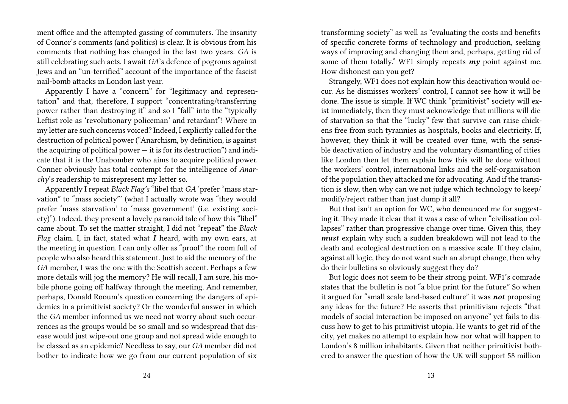ment office and the attempted gassing of commuters. The insanity of Connor's comments (and politics) is clear. It is obvious from his comments that nothing has changed in the last two years. *GA* is still celebrating such acts. I await *GA*'s defence of pogroms against Jews and an "un-terrified" account of the importance of the fascist nail-bomb attacks in London last year.

Apparently I have a "concern" for "legitimacy and representation" and that, therefore, I support "concentrating/transferring power rather than destroying it" and so I "fall" into the "typically Leftist role as 'revolutionary policeman' and retardant"! Where in my letter are such concerns voiced? Indeed, I explicitly called for the destruction of political power ("Anarchism, by definition, is against the acquiring of political power  $-$  it is for its destruction") and indicate that it is the Unabomber who aims to acquire political power. Conner obviously has total contempt for the intelligence of *Anarchy*'s readership to misrepresent my letter so.

Apparently I repeat *Black Flag's* "libel that *GA* 'prefer "mass starvation" to "mass society"' (what I actually wrote was "they would prefer 'mass starvation' to 'mass government' (i.e. existing society)"). Indeed, they present a lovely paranoid tale of how this "libel" came about. To set the matter straight, I did not "repeat" the *Black Flag* claim. I, in fact, stated what *I* heard, with my own ears, at the meeting in question. I can only offer as "proof" the room full of people who also heard this statement. Just to aid the memory of the *GA* member, I was the one with the Scottish accent. Perhaps a few more details will jog the memory? He will recall, I am sure, his mobile phone going off halfway through the meeting. And remember, perhaps, Donald Rooum's question concerning the dangers of epidemics in a primitivist society? Or the wonderful answer in which the *GA* member informed us we need not worry about such occurrences as the groups would be so small and so widespread that disease would just wipe-out one group and not spread wide enough to be classed as an epidemic? Needless to say, our *GA* member did not bother to indicate how we go from our current population of six

transforming society" as well as "evaluating the costs and benefits of specific concrete forms of technology and production, seeking ways of improving and changing them and, perhaps, getting rid of some of them totally." WF1 simply repeats *my* point against me. How dishonest can you get?

Strangely, WF1 does not explain how this deactivation would occur. As he dismisses workers' control, I cannot see how it will be done. The issue is simple. If WC think "primitivist" society will exist immediately, then they must acknowledge that millions will die of starvation so that the "lucky" few that survive can raise chickens free from such tyrannies as hospitals, books and electricity. If, however, they think it will be created over time, with the sensible deactivation of industry and the voluntary dismantling of cities like London then let them explain how this will be done without the workers' control, international links and the self-organisation of the population they attacked me for advocating. And if the transition is slow, then why can we not judge which technology to keep/ modify/reject rather than just dump it all?

But that isn't an option for WC, who denounced me for suggesting it. They made it clear that it was a case of when "civilisation collapses" rather than progressive change over time. Given this, they *must* explain why such a sudden breakdown will not lead to the death and ecological destruction on a massive scale. If they claim, against all logic, they do not want such an abrupt change, then why do their bulletins so obviously suggest they do?

But logic does not seem to be their strong point. WF1's comrade states that the bulletin is not "a blue print for the future." So when it argued for "small scale land-based culture" it was *not* proposing any ideas for the future? He asserts that primitivism rejects "that models of social interaction be imposed on anyone" yet fails to discuss how to get to his primitivist utopia. He wants to get rid of the city, yet makes no attempt to explain how nor what will happen to London's 8 million inhabitants. Given that neither primitivist bothered to answer the question of how the UK will support 58 million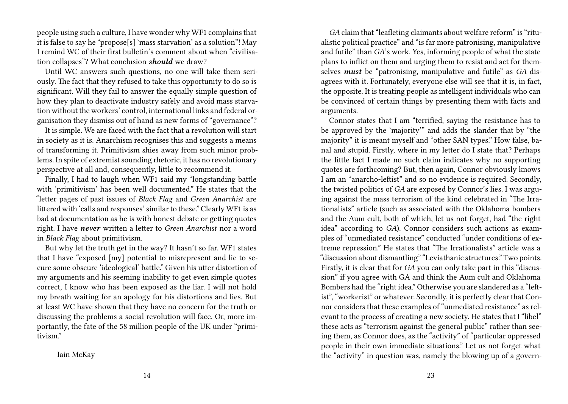people using such a culture, I have wonder why WF1 complains that it is false to say he "propose[s] 'mass starvation' as a solution"! May I remind WC of their first bulletin's comment about when "civilisation collapses"? What conclusion *should* we draw?

Until WC answers such questions, no one will take them seriously. The fact that they refused to take this opportunity to do so is significant. Will they fail to answer the equally simple question of how they plan to deactivate industry safely and avoid mass starvation without the workers' control, international links and federal organisation they dismiss out of hand as new forms of "governance"?

It is simple. We are faced with the fact that a revolution will start in society as it is. Anarchism recognises this and suggests a means of transforming it. Primitivism shies away from such minor problems. In spite of extremist sounding rhetoric, it has no revolutionary perspective at all and, consequently, little to recommend it.

Finally, I had to laugh when WF1 said my "longstanding battle with 'primitivism' has been well documented." He states that the "letter pages of past issues of *Black Flag* and *Green Anarchist* are littered with 'calls and responses' similar to these." Clearly WF1 is as bad at documentation as he is with honest debate or getting quotes right. I have *never* written a letter to *Green Anarchist* nor a word in *Black Flag* about primitivism.

But why let the truth get in the way? It hasn't so far. WF1 states that I have "exposed [my] potential to misrepresent and lie to secure some obscure 'ideological' battle." Given his utter distortion of my arguments and his seeming inability to get even simple quotes correct, I know who has been exposed as the liar. I will not hold my breath waiting for an apology for his distortions and lies. But at least WC have shown that they have no concern for the truth or discussing the problems a social revolution will face. Or, more importantly, the fate of the 58 million people of the UK under "primitivism."

Iain McKay

*GA* claim that "leafleting claimants about welfare reform" is "ritualistic political practice" and "is far more patronising, manipulative and futile" than *GA*'s work. Yes, informing people of what the state plans to inflict on them and urging them to resist and act for themselves *must* be "patronising, manipulative and futile" as *GA* disagrees with it. Fortunately, everyone else will see that it is, in fact, the opposite. It is treating people as intelligent individuals who can be convinced of certain things by presenting them with facts and arguments.

Connor states that I am "terrified, saying the resistance has to be approved by the 'majority'" and adds the slander that by "the majority" it is meant myself and "other SAN types." How false, banal and stupid. Firstly, where in my letter do I state that? Perhaps the little fact I made no such claim indicates why no supporting quotes are forthcoming? But, then again, Connor obviously knows I am an "anarcho-leftist" and so no evidence is required. Secondly, the twisted politics of *GA* are exposed by Connor's lies. I was arguing against the mass terrorism of the kind celebrated in "The Irrationalists" article (such as associated with the Oklahoma bombers and the Aum cult, both of which, let us not forget, had "the right idea" according to *GA*). Connor considers such actions as examples of "unmediated resistance" conducted "under conditions of extreme repression." He states that "The Irrationalists" article was a "discussion about dismantling" "Leviathanic structures." Two points. Firstly, it is clear that for *GA* you can only take part in this "discussion" if you agree with GA and think the Aum cult and Oklahoma Bombers had the "right idea." Otherwise you are slandered as a "leftist", "workerist" or whatever. Secondly, it is perfectly clear that Connor considers that these examples of "unmediated resistance" as relevant to the process of creating a new society. He states that I "libel" these acts as "terrorism against the general public" rather than seeing them, as Connor does, as the "activity" of "particular oppressed people in their own immediate situations." Let us not forget what the "activity" in question was, namely the blowing up of a govern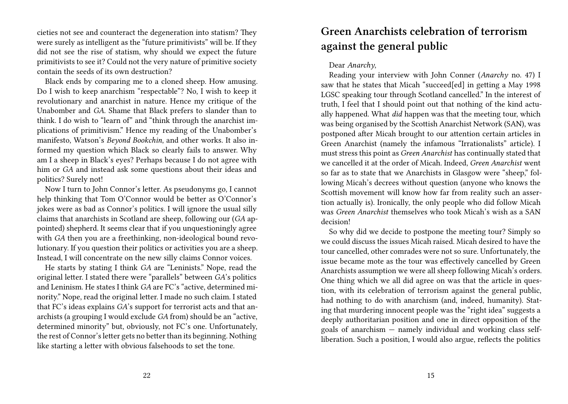cieties not see and counteract the degeneration into statism? They were surely as intelligent as the "future primitivists" will be. If they did not see the rise of statism, why should we expect the future primitivists to see it? Could not the very nature of primitive society contain the seeds of its own destruction?

Black ends by comparing me to a cloned sheep. How amusing. Do I wish to keep anarchism "respectable"? No, I wish to keep it revolutionary and anarchist in nature. Hence my critique of the Unabomber and *GA*. Shame that Black prefers to slander than to think. I do wish to "learn of" and "think through the anarchist implications of primitivism." Hence my reading of the Unabomber's manifesto, Watson's *Beyond Bookchin*, and other works. It also informed my question which Black so clearly fails to answer. Why am I a sheep in Black's eyes? Perhaps because I do not agree with him or *GA* and instead ask some questions about their ideas and politics? Surely not!

Now I turn to John Connor's letter. As pseudonyms go, I cannot help thinking that Tom O'Connor would be better as O'Connor's jokes were as bad as Connor's politics. I will ignore the usual silly claims that anarchists in Scotland are sheep, following our (*GA* appointed) shepherd. It seems clear that if you unquestioningly agree with *GA* then you are a freethinking, non-ideological bound revolutionary. If you question their politics or activities you are a sheep. Instead, I will concentrate on the new silly claims Connor voices.

He starts by stating I think *GA* are "Leninists." Nope, read the original letter. I stated there were "parallels" between *GA*'s politics and Leninism. He states I think *GA* are FC's "active, determined minority." Nope, read the original letter. I made no such claim. I stated that FC's ideas explains *GA*'s support for terrorist acts and that anarchists (a grouping I would exclude *GA* from) should be an "active, determined minority" but, obviously, not FC's one. Unfortunately, the rest of Connor's letter gets no better than its beginning. Nothing like starting a letter with obvious falsehoods to set the tone.

## **Green Anarchists celebration of terrorism against the general public**

### Dear *Anarchy*,

Reading your interview with John Conner (*Anarchy* no. 47) I saw that he states that Micah "succeed[ed] in getting a May 1998 LGSC speaking tour through Scotland cancelled." In the interest of truth, I feel that I should point out that nothing of the kind actually happened. What *did* happen was that the meeting tour, which was being organised by the Scottish Anarchist Network (SAN), was postponed after Micah brought to our attention certain articles in Green Anarchist (namely the infamous "Irrationalists" article). I must stress this point as *Green Anarchist* has continually stated that we cancelled it at the order of Micah. Indeed, *Green Anarchist* went so far as to state that we Anarchists in Glasgow were "sheep," following Micah's decrees without question (anyone who knows the Scottish movement will know how far from reality such an assertion actually is). Ironically, the only people who did follow Micah was *Green Anarchist* themselves who took Micah's wish as a SAN decision!

So why did we decide to postpone the meeting tour? Simply so we could discuss the issues Micah raised. Micah desired to have the tour cancelled, other comrades were not so sure. Unfortunately, the issue became mote as the tour was effectively cancelled by Green Anarchists assumption we were all sheep following Micah's orders. One thing which we all did agree on was that the article in question, with its celebration of terrorism against the general public, had nothing to do with anarchism (and, indeed, humanity). Stating that murdering innocent people was the "right idea" suggests a deeply authoritarian position and one in direct opposition of the goals of anarchism — namely individual and working class selfliberation. Such a position, I would also argue, reflects the politics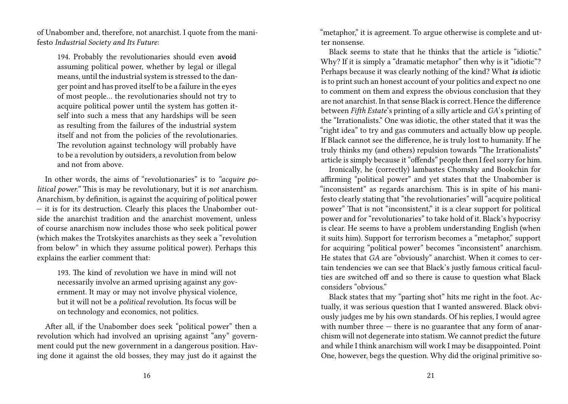of Unabomber and, therefore, not anarchist. I quote from the manifesto *Industrial Society and Its Future*:

194. Probably the revolutionaries should even **avoid** assuming political power, whether by legal or illegal means, until the industrial system is stressed to the danger point and has proved itself to be a failure in the eyes of most people… the revolutionaries should not try to acquire political power until the system has gotten itself into such a mess that any hardships will be seen as resulting from the failures of the industrial system itself and not from the policies of the revolutionaries. The revolution against technology will probably have to be a revolution by outsiders, a revolution from below and not from above.

In other words, the aims of "revolutionaries" is to *"acquire political power."* This is may be revolutionary, but it is *not* anarchism. Anarchism, by definition, is against the acquiring of political power — it is for its destruction. Clearly this places the Unabomber outside the anarchist tradition and the anarchist movement, unless of course anarchism now includes those who seek political power (which makes the Trotskyites anarchists as they seek a "revolution from below" in which they assume political power). Perhaps this explains the earlier comment that:

193. The kind of revolution we have in mind will not necessarily involve an armed uprising against any government. It may or may not involve physical violence, but it will not be a *political* revolution. Its focus will be on technology and economics, not politics.

After all, if the Unabomber does seek "political power" then a revolution which had involved an uprising against "any" government could put the new government in a dangerous position. Having done it against the old bosses, they may just do it against the

"metaphor," it is agreement. To argue otherwise is complete and utter nonsense.

Black seems to state that he thinks that the article is "idiotic." Why? If it is simply a "dramatic metaphor" then why is it "idiotic"? Perhaps because it was clearly nothing of the kind? What *is* idiotic is to print such an honest account of your politics and expect no one to comment on them and express the obvious conclusion that they are not anarchist. In that sense Black is correct. Hence the difference between *Fifth Estate*'s printing of a silly article and *GA*'s printing of the "Irrationalists." One was idiotic, the other stated that it was the "right idea" to try and gas commuters and actually blow up people. If Black cannot see the difference, he is truly lost to humanity. If he truly thinks my (and others) repulsion towards "The Irrationalists" article is simply because it "offends" people then I feel sorry for him.

Ironically, he (correctly) lambastes Chomsky and Bookchin for affirming "political power" and yet states that the Unabomber is "inconsistent" as regards anarchism. This is in spite of his manifesto clearly stating that "the revolutionaries" will "acquire political power" That is not "inconsistent," it is a clear support for political power and for "revolutionaries" to take hold of it. Black's hypocrisy is clear. He seems to have a problem understanding English (when it suits him). Support for terrorism becomes a "metaphor," support for acquiring "political power" becomes "inconsistent" anarchism. He states that *GA* are "obviously" anarchist. When it comes to certain tendencies we can see that Black's justly famous critical faculties are switched off and so there is cause to question what Black considers "obvious."

Black states that my "parting shot" hits me right in the foot. Actually, it was serious question that I wanted answered. Black obviously judges me by his own standards. Of his replies, I would agree with number three — there is no guarantee that any form of anarchism will not degenerate into statism. We cannot predict the future and while I think anarchism will work I may be disappointed. Point One, however, begs the question. Why did the original primitive so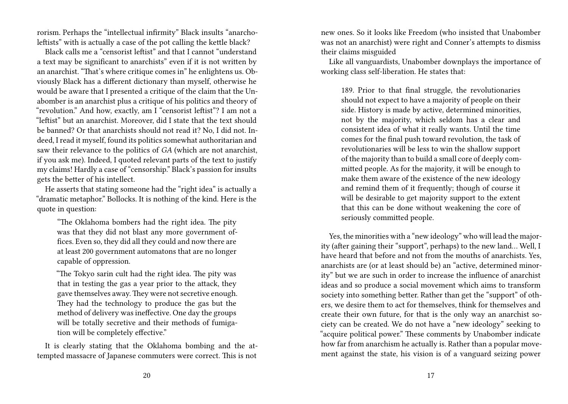rorism. Perhaps the "intellectual infirmity" Black insults "anarcholeftists" with is actually a case of the pot calling the kettle black?

Black calls me a "censorist leftist" and that I cannot "understand a text may be significant to anarchists" even if it is not written by an anarchist. "That's where critique comes in" he enlightens us. Obviously Black has a different dictionary than myself, otherwise he would be aware that I presented a critique of the claim that the Unabomber is an anarchist plus a critique of his politics and theory of "revolution." And how, exactly, am I "censorist leftist"? I am not a "leftist" but an anarchist. Moreover, did I state that the text should be banned? Or that anarchists should not read it? No, I did not. Indeed, I read it myself, found its politics somewhat authoritarian and saw their relevance to the politics of *GA* (which are not anarchist, if you ask me). Indeed, I quoted relevant parts of the text to justify my claims! Hardly a case of "censorship." Black's passion for insults gets the better of his intellect.

He asserts that stating someone had the "right idea" is actually a "dramatic metaphor." Bollocks. It is nothing of the kind. Here is the quote in question:

"The Oklahoma bombers had the right idea. The pity was that they did not blast any more government offices. Even so, they did all they could and now there are at least 200 government automatons that are no longer capable of oppression.

"The Tokyo sarin cult had the right idea. The pity was that in testing the gas a year prior to the attack, they gave themselves away. They were not secretive enough. They had the technology to produce the gas but the method of delivery was ineffective. One day the groups will be totally secretive and their methods of fumigation will be completely effective."

It is clearly stating that the Oklahoma bombing and the attempted massacre of Japanese commuters were correct. This is not

new ones. So it looks like Freedom (who insisted that Unabomber was not an anarchist) were right and Conner's attempts to dismiss their claims misguided

Like all vanguardists, Unabomber downplays the importance of working class self-liberation. He states that:

189. Prior to that final struggle, the revolutionaries should not expect to have a majority of people on their side. History is made by active, determined minorities, not by the majority, which seldom has a clear and consistent idea of what it really wants. Until the time comes for the final push toward revolution, the task of revolutionaries will be less to win the shallow support of the majority than to build a small core of deeply committed people. As for the majority, it will be enough to make them aware of the existence of the new ideology and remind them of it frequently; though of course it will be desirable to get majority support to the extent that this can be done without weakening the core of seriously committed people.

Yes, the minorities with a "new ideology" who will lead the majority (after gaining their "support", perhaps) to the new land… Well, I have heard that before and not from the mouths of anarchists. Yes, anarchists are (or at least should be) an "active, determined minority" but we are such in order to increase the influence of anarchist ideas and so produce a social movement which aims to transform society into something better. Rather than get the "support" of others, we desire them to act for themselves, think for themselves and create their own future, for that is the only way an anarchist society can be created. We do not have a "new ideology" seeking to "acquire political power." These comments by Unabomber indicate how far from anarchism he actually is. Rather than a popular movement against the state, his vision is of a vanguard seizing power